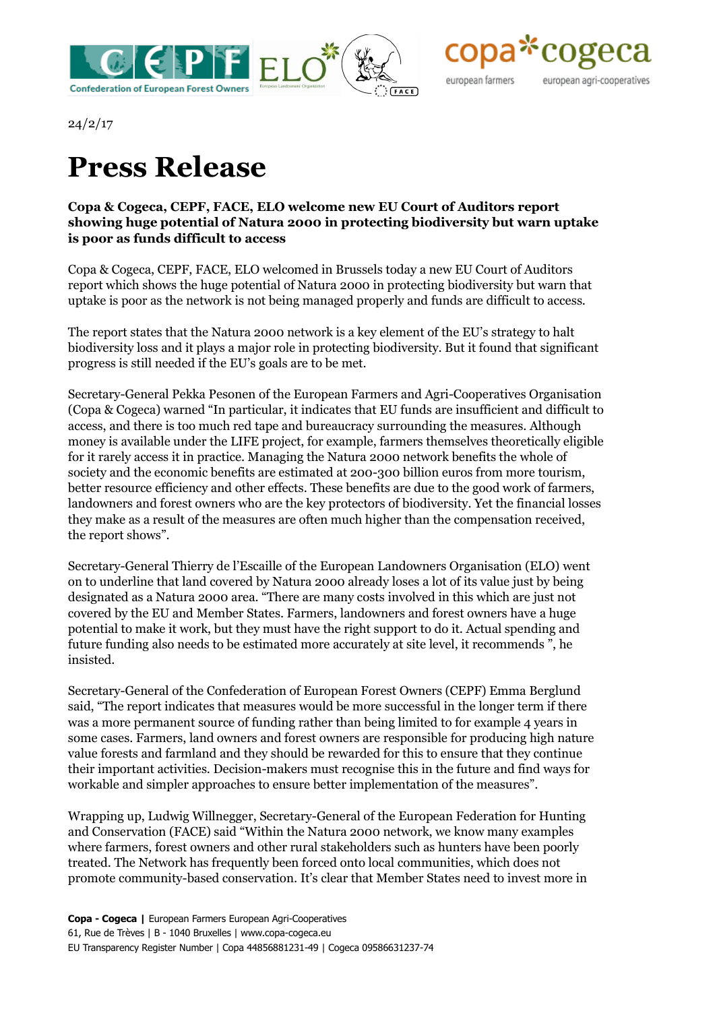



24/2/17

## **Press Release**

## **Copa & Cogeca, CEPF, FACE, ELO welcome new EU Court of Auditors report showing huge potential of Natura 2000 in protecting biodiversity but warn uptake is poor as funds difficult to access**

Copa & Cogeca, CEPF, FACE, ELO welcomed in Brussels today a new EU Court of Auditors report which shows the huge potential of Natura 2000 in protecting biodiversity but warn that uptake is poor as the network is not being managed properly and funds are difficult to access.

The report states that the Natura 2000 network is a key element of the EU's strategy to halt biodiversity loss and it plays a major role in protecting biodiversity. But it found that significant progress is still needed if the EU's goals are to be met.

Secretary-General Pekka Pesonen of the European Farmers and Agri-Cooperatives Organisation (Copa & Cogeca) warned "In particular, it indicates that EU funds are insufficient and difficult to access, and there is too much red tape and bureaucracy surrounding the measures. Although money is available under the LIFE project, for example, farmers themselves theoretically eligible for it rarely access it in practice. Managing the Natura 2000 network benefits the whole of society and the economic benefits are estimated at 200-300 billion euros from more tourism, better resource efficiency and other effects. These benefits are due to the good work of farmers, landowners and forest owners who are the key protectors of biodiversity. Yet the financial losses they make as a result of the measures are often much higher than the compensation received, the report shows".

Secretary-General Thierry de l'Escaille of the European Landowners Organisation (ELO) went on to underline that land covered by Natura 2000 already loses a lot of its value just by being designated as a Natura 2000 area. "There are many costs involved in this which are just not covered by the EU and Member States. Farmers, landowners and forest owners have a huge potential to make it work, but they must have the right support to do it. Actual spending and future funding also needs to be estimated more accurately at site level, it recommends ", he insisted.

Secretary-General of the Confederation of European Forest Owners (CEPF) Emma Berglund said, "The report indicates that measures would be more successful in the longer term if there was a more permanent source of funding rather than being limited to for example 4 years in some cases. Farmers, land owners and forest owners are responsible for producing high nature value forests and farmland and they should be rewarded for this to ensure that they continue their important activities. Decision-makers must recognise this in the future and find ways for workable and simpler approaches to ensure better implementation of the measures".

Wrapping up, Ludwig Willnegger, Secretary-General of the European Federation for Hunting and Conservation (FACE) said "Within the Natura 2000 network, we know many examples where farmers, forest owners and other rural stakeholders such as hunters have been poorly treated. The Network has frequently been forced onto local communities, which does not promote community-based conservation. It's clear that Member States need to invest more in